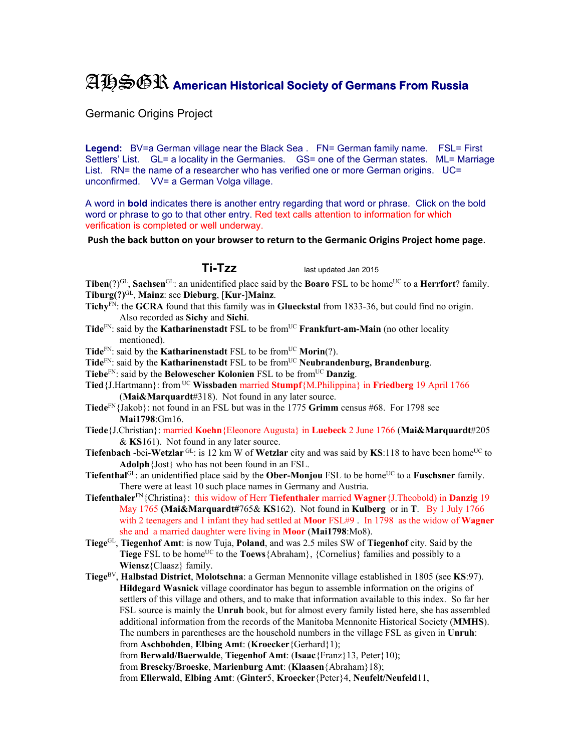## AHSGR **American Historical Society of Germans From Russia**

Germanic Origins Project

Legend: BV=a German village near the Black Sea . FN= German family name. FSL= First Settlers' List. GL= a locality in the Germanies. GS= one of the German states. ML= Marriage List. RN= the name of a researcher who has verified one or more German origins. UC= unconfirmed. VV= a German Volga village.

A word in **bold** indicates there is another entry regarding that word or phrase. Click on the bold word or phrase to go to that other entry. Red text calls attention to information for which verification is completed or well underway.

**Push the back button on your browser to return to the Germanic Origins Project home page**.

**Ti-Tzz** last updated Jan 2015

**Tiben**(?)<sup>GL</sup>, **Sachsen**<sup>GL</sup>: an unidentified place said by the **Boaro** FSL to be home<sup>UC</sup> to a **Herrfort**? family. **Tiburg(?)**GL, **Mainz**: see **Dieburg**, [**Kur**-]**Mainz**.

- **Tichy**FN: the **GCRA** found that this family was in **Glueckstal** from 1833-36, but could find no origin. Also recorded as **Sichy** and **Sichi**.
- Tide<sup>FN</sup>: said by the **Katharinenstadt** FSL to be from<sup>UC</sup> **Frankfurt-am-Main** (no other locality mentioned).

**Tide**<sup>FN</sup>: said by the **Katharinenstadt** FSL to be from<sup>UC</sup> **Morin**(?).

- Tide<sup>FN</sup>: said by the **Katharinenstadt** FSL to be from<sup>UC</sup> **Neubrandenburg, Brandenburg**.
- Tiebe<sup>FN</sup>: said by the **Belowescher Kolonien** FSL to be from<sup>UC</sup> **Danzig**.
- **Tied**{J.Hartmann}: from UC **Wissbaden** married **Stumpf**{M.Philippina} in **Friedberg** 19 April 1766 (**Mai&Marquardt**#318). Not found in any later source.
- **Tiede**FN{Jakob}: not found in an FSL but was in the 1775 **Grimm** census #68. For 1798 see **Mai1798**:Gm16.
- **Tiede**{J.Christian}: married **Koehn**{Eleonore Augusta} in **Luebeck** 2 June 1766 (**Mai&Marquardt**#205 & **KS**161). Not found in any later source.
- **Tiefenbach** -bei-Wetzlar<sup>GL</sup>: is 12 km W of Wetzlar city and was said by KS:118 to have been home<sup>UC</sup> to **Adolph**{Jost} who has not been found in an FSL.
- **Tiefenthal**<sup>GL</sup>: an unidentified place said by the **Ober-Monjou** FSL to be home<sup>UC</sup> to a **Fuschsner** family. There were at least 10 such place names in Germany and Austria.
- **Tiefenthaler**FN{Christina}: this widow of Herr **Tiefenthaler** married **Wagner**{J.Theobold) in **Danzig** 19 May 1765 **(Mai&Marquardt#**765& **KS**162). Not found in **Kulberg** or in **T**. By 1 July 1766 with 2 teenagers and 1 infant they had settled at **Moor** FSL#9 . In 1798 as the widow of **Wagner**  she and a married daughter were living in **Moor** (**Mai1798**:Mo8).
- **Tiege**GL, **Tiegenhof Amt**: is now Tuja, **Poland**, and was 2.5 miles SW of **Tiegenhof** city. Said by the **Tiege** FSL to be home<sup>UC</sup> to the **Toews** {Abraham}, {Cornelius} families and possibly to a **Wiensz**{Claasz} family.
- **Tiege**BV, **Halbstad District**, **Molotschna**: a German Mennonite village established in 1805 (see **KS**:97). **Hildegard Wasnick** village coordinator has begun to assemble information on the origins of settlers of this village and others, and to make that information available to this index. So far her FSL source is mainly the **Unruh** book, but for almost every family listed here, she has assembled additional information from the records of the Manitoba Mennonite Historical Society (**MMHS**). The numbers in parentheses are the household numbers in the village FSL as given in **Unruh**: from **Aschbohden**, **Elbing Amt**: (**Kroecker**{Gerhard}1); from **Berwald/Baerwalde**, **Tiegenhof Amt**: (**Isaac**{Franz}13, Peter}10);

from **Brescky/Broeske**, **Marienburg Amt**: (**Klaasen**{Abraham}18); from **Ellerwald**, **Elbing Amt**: (**Ginter**5, **Kroecker**{Peter}4, **Neufelt/Neufeld**11,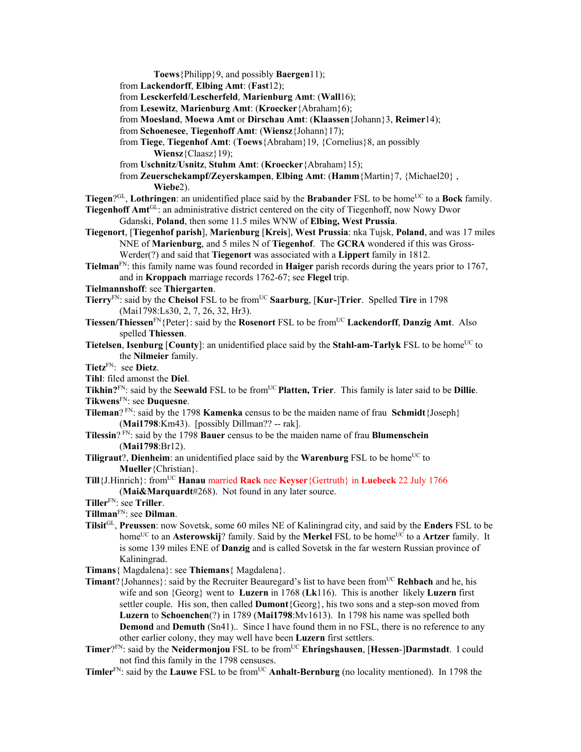**Toews**{Philipp}9, and possibly **Baergen**11); from **Lackendorff**, **Elbing Amt**: (**Fast**12); from **Lesckerfeld**/**Lescherfeld**, **Marienburg Amt**: (**Wall**16); from **Lesewitz**, **Marienburg Amt**: (**Kroecker**{Abraham}6); from **Moesland**, **Moewa Amt** or **Dirschau Amt**: (**Klaassen**{Johann}3, **Reimer**14); from **Schoenesee**, **Tiegenhoff Amt**: (**Wiensz**{Johann}17); from **Tiege**, **Tiegenhof Amt**: (**Toews**{Abraham}19, {Cornelius}8, an possibly **Wiensz**{Claasz}19); from **Uschnitz**/**Usnitz**, **Stuhm Amt**: (**Kroecker**{Abraham}15); from **Zeuerschekampf/Zeyerskampen**, **Elbing Amt**: (**Hamm**{Martin}7, {Michael20} , **Wiebe**2). **Tiegen**?<sup>GL</sup>, **Lothringen**: an unidentified place said by the **Brabander** FSL to be home<sup>UC</sup> to a **Bock** family. **Tiegenhoff Amt**GL: an administrative district centered on the city of Tiegenhoff, now Nowy Dwor Gdanski, **Poland**, then some 11.5 miles WNW of **Elbing, West Prussia**. **Tiegenort**, [**Tiegenhof parish**], **Marienburg** [**Kreis**], **West Prussia**: nka Tujsk, **Poland**, and was 17 miles NNE of **Marienburg**, and 5 miles N of **Tiegenhof**. The **GCRA** wondered if this was Gross-Werder(?) and said that **Tiegenort** was associated with a **Lippert** family in 1812. **Tielman**FN: this family name was found recorded in **Haiger** parish records during the years prior to 1767, and in **Kroppach** marriage records 1762-67; see **Flegel** trip. **Tielmannshoff**: see **Thiergarten**. **Tierry**<sup>FN</sup>: said by the **Cheisol** FSL to be from<sup>UC</sup> **Saarburg**, [**Kur-**]Trier. Spelled Tire in 1798 (Mai1798:Ls30, 2, 7, 26, 32, Hr3). **Tiessen/Thiessen**FN{Peter}: said by the **Rosenort** FSL to be fromUC **Lackendorff**, **Danzig Amt**. Also spelled **Thiessen**. **Tietelsen**, **Isenburg** [County]: an unidentified place said by the Stahl-am-Tarlyk FSL to be home<sup>UC</sup> to the **Nilmeier** family. **Tietz**FN: see **Dietz**. **Tihl**: filed amonst the **Diel**. **Tikhin?**<sup>FN</sup>: said by the **Seewald** FSL to be from<sup>UC</sup> **Platten, Trier**. This family is later said to be **Dillie**. **Tikwens**FN: see **Duquesne**. **Tileman**? FN: said by the 1798 **Kamenka** census to be the maiden name of frau **Schmidt**{Joseph} (**Mai1798**:Km43). [possibly Dillman?? -- rak]. **Tilessin**? FN: said by the 1798 **Bauer** census to be the maiden name of frau **Blumenschein** (**Mai1798**:Br12). **Tiligraut**?, **Dienheim**: an unidentified place said by the **Warenburg** FSL to be home<sup>UC</sup> to **Mueller**{Christian}. **Till**{J.Hinrich}: fromUC **Hanau** married **Rack** nee **Keyser**{Gertruth} in **Luebeck** 22 July 1766 (**Mai&Marquardt**#268). Not found in any later source. **Tiller**FN: see **Triller**. **Tillman**FN: see **Dilman**. **Tilsit**GL, **Preussen**: now Sovetsk, some 60 miles NE of Kaliningrad city, and said by the **Enders** FSL to be home<sup>UC</sup> to an **Asterowskij**? family. Said by the **Merkel** FSL to be home<sup>UC</sup> to a **Artzer** family. It is some 139 miles ENE of **Danzig** and is called Sovetsk in the far western Russian province of Kaliningrad. **Timans**{ Magdalena}: see **Thiemans**{ Magdalena}. **Timant**?{Johannes}: said by the Recruiter Beauregard's list to have been fromUC **Rehbach** and he, his wife and son {Georg} went to **Luzern** in 1768 (**Lk**116). This is another likely **Luzern** first settler couple. His son, then called **Dumont**{Georg}, his two sons and a step-son moved from **Luzern** to **Schoenchen**(?) in 1789 (**Mai1798**:Mv1613). In 1798 his name was spelled both **Demond** and **Demuth** (Sn41).. Since I have found them in no FSL, there is no reference to any other earlier colony, they may well have been **Luzern** first settlers.

- **Timer**?FN: said by the **Neidermonjou** FSL to be fromUC **Ehringshausen**, [**Hessen**-]**Darmstadt**. I could not find this family in the 1798 censuses.
- **Timler**<sup>FN</sup>: said by the **Lauwe** FSL to be from<sup>UC</sup> **Anhalt-Bernburg** (no locality mentioned). In 1798 the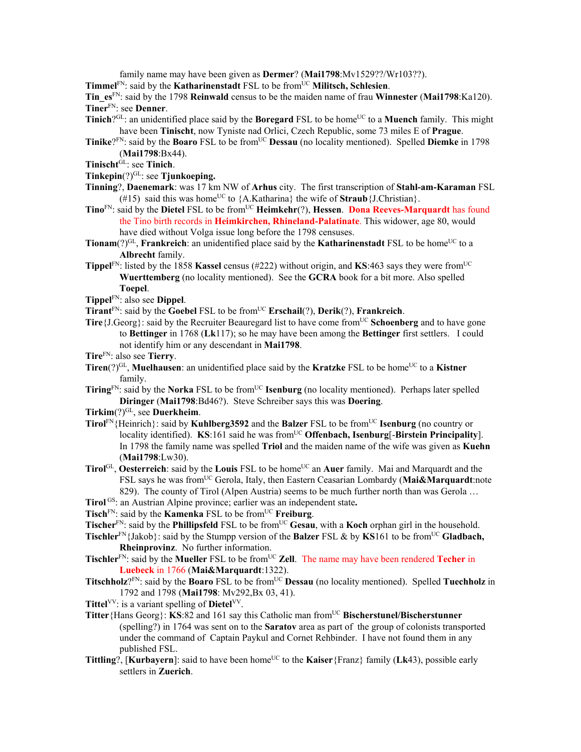family name may have been given as **Dermer**? (**Mai1798**:Mv1529??/Wr103??).

**Timmel**<sup>FN</sup>: said by the **Katharinenstadt** FSL to be from<sup>UC</sup> **Militsch, Schlesien**.

**Tin\_es**FN: said by the 1798 **Reinwald** census to be the maiden name of frau **Winnester** (**Mai1798**:Ka120). **Tiner**FN: see **Denner**.

- **Tinich**?GL: an unidentified place said by the **Boregard** FSL to be home<sup>UC</sup> to a **Muench** family. This might have been **Tinischt**, now Tyniste nad Orlici, Czech Republic, some 73 miles E of **Prague**.
- **Tinike**?FN: said by the **Boaro** FSL to be from<sup>UC</sup> **Dessau** (no locality mentioned). Spelled **Diemke** in 1798 (**Mai1798**:Bx44).
- **Tinischt**GL: see **Tinich**.
- **Tinkepin** $(?)<sup>GL</sup>$ : see **Tjunkoeping.**
- **Tinning**?, **Daenemark**: was 17 km NW of **Arhus** city. The first transcription of **Stahl-am-Karaman** FSL (#15) said this was home<sup>UC</sup> to  ${A.Katharina}$  the wife of **Straub** ${J.Christian}$ .
- **Tino**<sup>FN</sup>: said by the **Dietel** FSL to be from<sup>UC</sup> **Heimkehr**(?), **Hessen. Dona Reeves-Marquardt** has found the Tino birth records in **Heimkirchen, Rhineland-Palatinate**. This widower, age 80, would have died without Volga issue long before the 1798 censuses.
- **Tionam**(?)<sup>GL</sup>, **Frankreich**: an unidentified place said by the **Katharinenstadt** FSL to be home<sup>UC</sup> to a **Albrecht** family.
- **Tippel**<sup>FN</sup>: listed by the 1858 **Kassel** census (#222) without origin, and **KS**:463 says they were from<sup>UC</sup> **Wuerttemberg** (no locality mentioned). See the **GCRA** book for a bit more. Also spelled **Toepel**.
- **Tippel**FN: also see **Dippel**.
- **Tirant**FN: said by the **Goebel** FSL to be fromUC **Erschail**(?), **Derik**(?), **Frankreich**.
- **Tire**{J.Georg}: said by the Recruiter Beauregard list to have come from<sup>UC</sup> Schoenberg and to have gone to **Bettinger** in 1768 (**Lk**117); so he may have been among the **Bettinger** first settlers. I could not identify him or any descendant in **Mai1798**.
- **Tire**FN: also see **Tierry**.
- **Tiren**(?)<sup>GL</sup>, **Muelhausen**: an unidentified place said by the **Kratzke** FSL to be home<sup>UC</sup> to a **Kistner** family.
- **Tiring**<sup>FN</sup>: said by the **Norka** FSL to be from<sup>UC</sup> **Isenburg** (no locality mentioned). Perhaps later spelled **Diringer** (**Mai1798**:Bd46?). Steve Schreiber says this was **Doering**.
- **Tirkim**(?)GL, see **Duerkheim**.
- **Tirol**<sup>FN</sup>{Heinrich}: said by **Kuhlberg3592** and the **Balzer** FSL to be from<sup>UC</sup> **Isenburg** (no country or locality identified). **KS**:161 said he was from<sup>UC</sup> **Offenbach, Isenburg**[-**Birstein Principality**]. In 1798 the family name was spelled **Triol** and the maiden name of the wife was given as **Kuehn** (**Mai1798**:Lw30).
- **Tirol**GL, **Oesterreich**: said by the **Louis** FSL to be home<sup>UC</sup> an **Auer** family. Mai and Marquardt and the FSL says he was fromUC Gerola, Italy, then Eastern Ceasarian Lombardy (**Mai&Marquardt**:note 829). The county of Tirol (Alpen Austria) seems to be much further north than was Gerola ...
- **Tirol** GS: an Austrian Alpine province; earlier was an independent state**.**
- **Tisch**<sup>FN</sup>: said by the **Kamenka** FSL to be from<sup>UC</sup> **Freiburg**.
- **Tischer**<sup>FN</sup>: said by the **Phillipsfeld** FSL to be from<sup>UC</sup> **Gesau**, with a **Koch** orphan girl in the household.
- **Tischler**<sup>FN</sup>{Jakob}: said by the Stumpp version of the **Balzer** FSL & by **KS**161 to be from<sup>UC</sup> **Gladbach**, **Rheinprovinz**. No further information.
- **Tischler**<sup>FN</sup>: said by the **Mueller** FSL to be from<sup>UC</sup> **Zell**. The name may have been rendered **Techer** in **Luebeck** in 1766 (**Mai&Marquardt**:1322).
- **Titschholz**?<sup>FN</sup>: said by the **Boaro** FSL to be from<sup>UC</sup> **Dessau** (no locality mentioned). Spelled **Tuechholz** in 1792 and 1798 (**Mai1798**: Mv292,Bx 03, 41).
- **Tittel**<sup>VV</sup>: is a variant spelling of **Dietel**<sup>VV</sup>.
- Titter {Hans Georg}: **KS**:82 and 161 say this Catholic man from<sup>UC</sup> Bischerstunel/Bischerstunner (spelling?) in 1764 was sent on to the **Saratov** area as part of the group of colonists transported under the command of Captain Paykul and Cornet Rehbinder. I have not found them in any published FSL.
- **Tittling**?, [**Kurbayern**]: said to have been home<sup>UC</sup> to the **Kaiser**{Franz} family (**Lk**43), possible early settlers in **Zuerich**.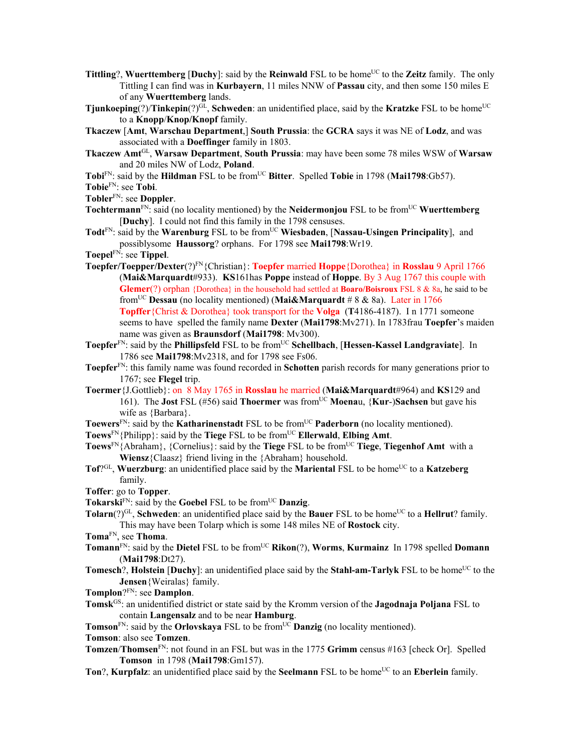- **Tittling**?, **Wuerttemberg** [Duchy]: said by the **Reinwald** FSL to be home<sup>UC</sup> to the **Zeitz** family. The only Tittling I can find was in **Kurbayern**, 11 miles NNW of **Passau** city, and then some 150 miles E of any **Wuerttemberg** lands.
- **Tjunkoeping** $(?)$ /**Tinkepin** $(?)^{GL}$ , **Schweden**: an unidentified place, said by the **Kratzke** FSL to be home<sup>UC</sup> to a **Knopp**/**Knop/Knopf** family.
- **Tkaczew** [**Amt**, **Warschau Department**,] **South Prussia**: the **GCRA** says it was NE of **Lodz**, and was associated with a **Doeffinger** family in 1803.
- **Tkaczew Amt**GL, **Warsaw Department**, **South Prussia**: may have been some 78 miles WSW of **Warsaw** and 20 miles NW of Lodz, **Poland**.
- **Tobi**<sup>FN</sup>: said by the **Hildman** FSL to be from<sup>UC</sup> Bitter. Spelled Tobie in 1798 (Mai1798:Gb57).
- **Tobie**FN: see **Tobi**.
- **Tobler**FN: see **Doppler**.
- **Tochtermann**<sup>FN</sup>: said (no locality mentioned) by the **Neidermonjou** FSL to be from<sup>UC</sup> **Wuerttemberg** [**Duchy**]. I could not find this family in the 1798 censuses.
- Todt<sup>FN</sup>: said by the **Warenburg** FSL to be from<sup>UC</sup> **Wiesbaden**, [Nassau-Usingen Principality], and possiblysome **Haussorg**? orphans. For 1798 see **Mai1798**:Wr19.
- **Toepel**FN: see **Tippel**.
- **Toepfer/Toepper/Dexter**(?)FN{Christian}: **Toepfer** married **Hoppe**{Dorothea} in **Rosslau** 9 April 1766 (**Mai&Marquardt**#933). **KS**161has **Poppe** instead of **Hoppe**. By 3 Aug 1767 this couple with **Glemer**(?) orphan {Dorothea} in the household had settled at **Boaro/Boisroux** FSL 8 & 8a, he said to be fromUC **Dessau** (no locality mentioned) (**Mai&Marquardt** # 8 & 8a). Later in 1766 **Topffer**{Christ & Dorothea} took transport for the **Volga** (**T**4186-4187). I n 1771 someone seems to have spelled the family name **Dexter** (**Mai1798**:Mv271). In 1783frau **Toepfer**'s maiden name was given as **Braunsdorf** (**Mai1798**: Mv300).
- **Toepfer**FN: said by the **Phillipsfeld** FSL to be fromUC **Schellbach**, [**Hessen-Kassel Landgraviate**]. In 1786 see **Mai1798**:Mv2318, and for 1798 see Fs06.
- **Toepfer**FN: this family name was found recorded in **Schotten** parish records for many generations prior to 1767; see **Flegel** trip.
- **Toermer**{J.Gottlieb}: on 8 May 1765 in **Rosslau** he married (**Mai&Marquardt**#964) and **KS**129 and 161). The **Jost** FSL (#56) said **Thoermer** was from<sup>UC</sup> **Moenau**, {**Kur-**)Sachsen but gave his wife as {Barbara}.
- Toewers<sup>FN</sup>: said by the **Katharinenstadt** FSL to be from<sup>UC</sup> **Paderborn** (no locality mentioned).
- **Toews**<sup>FN</sup>{Philipp}: said by the **Tiege** FSL to be from<sup>UC</sup> **Ellerwald**, **Elbing** Amt.
- **Toews**<sup>FN</sup>{Abraham}, {Cornelius}: said by the **Tiege** FSL to be from<sup>UC</sup> **Tiege**, **Tiegenhof Amt** with a **Wiensz**{Claasz} friend living in the {Abraham} household.
- **Tof**?<sup>GL</sup>, **Wuerzburg**: an unidentified place said by the **Mariental** FSL to be home<sup>UC</sup> to a **Katzeberg** family.
- **Toffer**: go to **Topper**.
- **Tokarski**FN: said by the **Goebel** FSL to be fromUC **Danzig**.
- **Tolarn**(?)<sup>GL</sup>, **Schweden**: an unidentified place said by the **Bauer** FSL to be home<sup>UC</sup> to a **Hellrut**? family.
	- This may have been Tolarp which is some 148 miles NE of **Rostock** city.
- **Toma**FN, see **Thoma**.
- **Tomann**<sup>FN</sup>: said by the **Dietel** FSL to be from<sup>UC</sup> **Rikon**(?), **Worms**, **Kurmainz** In 1798 spelled **Domann** (**Mai1798**:Dt27).
- **Tomesch**?, **Holstein** [Duchy]: an unidentified place said by the Stahl-am-Tarlyk FSL to be home<sup>UC</sup> to the **Jensen**{Weiralas} family.
- **Tomplon**?FN: see **Damplon**.
- **Tomsk**GS: an unidentified district or state said by the Kromm version of the **Jagodnaja Poljana** FSL to contain **Langensalz** and to be near **Hamburg**.
- **Tomson**<sup>FN</sup>: said by the **Orlovskaya** FSL to be from<sup>UC</sup> **Danzig** (no locality mentioned).

**Tomson**: also see **Tomzen**.

- **Tomzen**/**Thomsen**FN: not found in an FSL but was in the 1775 **Grimm** census #163 [check Or]. Spelled **Tomson** in 1798 (**Mai1798**:Gm157).
- **Ton**?, **Kurpfalz**: an unidentified place said by the **Seelmann** FSL to be home<sup>UC</sup> to an **Eberlein** family.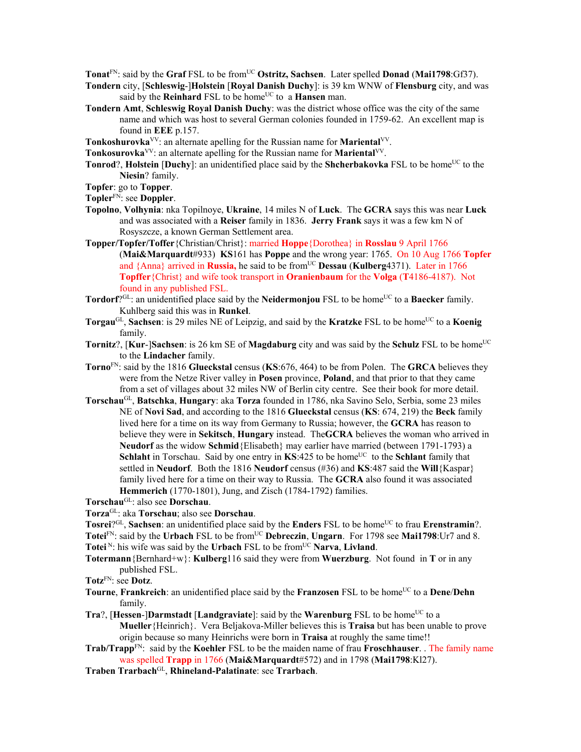**Tonat**<sup>FN</sup>: said by the **Graf** FSL to be from<sup>UC</sup> **Ostritz, Sachsen**. Later spelled **Donad** (Mai1798:Gf37).

- **Tondern** city, [**Schleswig**-]**Holstein** [**Royal Danish Duchy**]: is 39 km WNW of **Flensburg** city, and was said by the **Reinhard** FSL to be home<sup>UC</sup> to a **Hansen** man.
- **Tondern Amt**, **Schleswig Royal Danish Duchy**: was the district whose office was the city of the same name and which was host to several German colonies founded in 1759-62. An excellent map is found in **EEE** p.157.
- **Tonkoshurovka**VV: an alternate apelling for the Russian name for **Mariental**VV.
- **Tonkosurovka**<sup>VV</sup>: an alternate apelling for the Russian name for **Mariental**<sup>VV</sup>.
- **Tonrod**?, **Holstein** [**Duchy**]: an unidentified place said by the **Shcherbakovka** FSL to be home<sup>UC</sup> to the **Niesin**? family.
- **Topfer**: go to **Topper**.
- **Topler**FN: see **Doppler**.
- **Topolno**, **Volhynia**: nka Topilnoye, **Ukraine**, 14 miles N of **Luck**. The **GCRA** says this was near **Luck** and was associated with a **Reiser** family in 1836. **Jerry Frank** says it was a few km N of Rosyszcze, a known German Settlement area.
- **Topper/Topfer/Toffer**{Christian/Christ}: married **Hoppe**{Dorothea} in **Rosslau** 9 April 1766 (**Mai&Marquardt**#933) **KS**161 has **Poppe** and the wrong year: 1765. On 10 Aug 1766 **Topfer**  and {Anna} arrived in **Russia**, he said to be from<sup>UC</sup> **Dessau (Kulberg**4371). Later in 1766 **Topffer**{Christ} and wife took transport in **Oranienbaum** for the **Volga** (**T**4186-4187). Not found in any published FSL.
- **Tordorf**?<sup>GL</sup>: an unidentified place said by the **Neidermonjou** FSL to be home<sup>UC</sup> to a **Baecker** family. Kuhlberg said this was in **Runkel**.
- **Torgau**<sup>GL</sup>, **Sachsen**: is 29 miles NE of Leipzig, and said by the **Kratzke** FSL to be home<sup>UC</sup> to a **Koenig** family.
- **Tornitz**?, [Kur-]Sachsen: is 26 km SE of Magdaburg city and was said by the Schulz FSL to be home<sup>UC</sup> to the **Lindacher** family.
- **Torno**FN: said by the 1816 **Glueckstal** census (**KS**:676, 464) to be from Polen. The **GRCA** believes they were from the Netze River valley in **Posen** province, **Poland**, and that prior to that they came from a set of villages about 32 miles NW of Berlin city centre. See their book for more detail.
- **Torschau**GL, **Batschka**, **Hungary**: aka **Torza** founded in 1786, nka Savino Selo, Serbia, some 23 miles NE of **Novi Sad**, and according to the 1816 **Glueckstal** census (**KS**: 674, 219) the **Beck** family lived here for a time on its way from Germany to Russia; however, the **GCRA** has reason to believe they were in **Sekitsch**, **Hungary** instead. The**GCRA** believes the woman who arrived in **Neudorf** as the widow **Schmid**{Elisabeth} may earlier have married (between 1791-1793) a **Schlaht** in Torschau. Said by one entry in  $KS:425$  to be home<sup>UC</sup> to the **Schlant** family that settled in **Neudorf**. Both the 1816 **Neudorf** census (#36) and **KS**:487 said the **Will**{Kaspar} family lived here for a time on their way to Russia. The **GCRA** also found it was associated **Hemmerich** (1770-1801), Jung, and Zisch (1784-1792) families.

**Torschau**GL: also see **Dorschau**.

**Torza**GL: aka **Torschau**; also see **Dorschau**.

Tosrei<sup>?GL</sup>, Sachsen: an unidentified place said by the **Enders** FSL to be home<sup>UC</sup> to frau **Erenstramin**?. Totei<sup>FN</sup>: said by the **Urbach** FSL to be from<sup>UC</sup> Debreczin, **Ungarn**. For 1798 see Mai1798:Ur7 and 8.

- **Totei**<sup>N</sup>: his wife was said by the **Urbach** FSL to be from<sup>UC</sup> **Narva**, **Livland**.
- **Totermann**{Bernhard+w}: **Kulberg**116 said they were from **Wuerzburg**. Not found in **T** or in any published FSL.
- **Totz**FN: see **Dotz**.
- **Tourne**, **Frankreich**: an unidentified place said by the **Franzosen** FSL to be home<sup>UC</sup> to a **Dene/Dehn** family.
- **Tra**?, [Hessen-]Darmstadt [Landgraviate]: said by the Warenburg FSL to be home<sup>UC</sup> to a **Mueller**{Heinrich}. Vera Beljakova-Miller believes this is **Traisa** but has been unable to prove origin because so many Heinrichs were born in **Traisa** at roughly the same time!!
- **Trab/Trapp**FN: said by the **Koehler** FSL to be the maiden name of frau **Froschhauser**. . The family name was spelled **Trapp** in 1766 (**Mai&Marquardt**#572) and in 1798 (**Mai1798**:Kl27).
- **Traben Trarbach**GL, **Rhineland-Palatinate**: see **Trarbach**.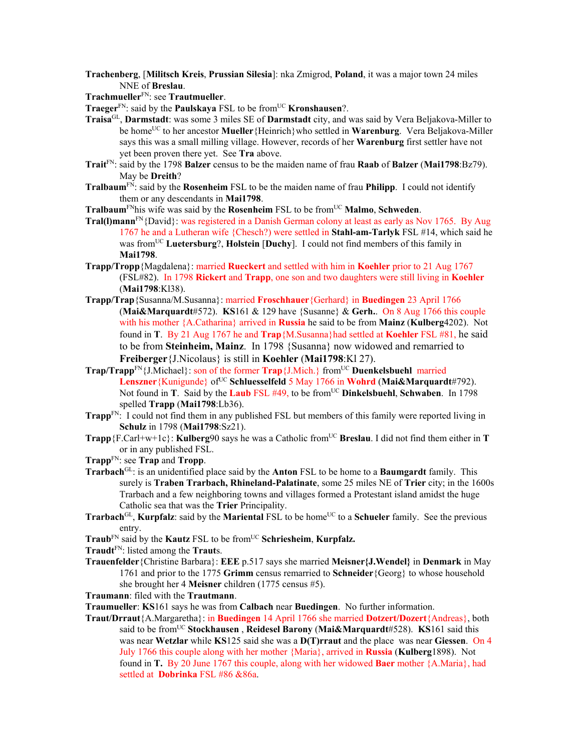- **Trachenberg**, [**Militsch Kreis**, **Prussian Silesia**]: nka Zmigrod, **Poland**, it was a major town 24 miles NNE of **Breslau**.
- **Trachmueller**FN: see **Trautmueller**.
- **Traeger**<sup>FN</sup>: said by the **Paulskaya** FSL to be from<sup>UC</sup> **Kronshausen**?.
- **Traisa**GL, **Darmstadt**: was some 3 miles SE of **Darmstadt** city, and was said by Vera Beljakova-Miller to be homeUC to her ancestor **Mueller**{Heinrich}who settled in **Warenburg**. Vera Beljakova-Miller says this was a small milling village. However, records of her **Warenburg** first settler have not yet been proven there yet. See **Tra** above.
- **Trait**FN: said by the 1798 **Balzer** census to be the maiden name of frau **Raab** of **Balzer** (**Mai1798**:Bz79). May be **Dreith**?
- **Tralbaum**FN: said by the **Rosenheim** FSL to be the maiden name of frau **Philipp**. I could not identify them or any descendants in **Mai1798**.

**Tralbaum**<sup>FN</sup>his wife was said by the **Rosenheim** FSL to be from<sup>UC</sup> **Malmo**, **Schweden**.

- **Tral(I)mann**<sup>FN</sup>{David}: was registered in a Danish German colony at least as early as Nov 1765. By Aug 1767 he and a Lutheran wife {Chesch?) were settled in **Stahl-am-Tarlyk** FSL #14, which said he was fromUC **Luetersburg**?, **Holstein** [**Duchy**]. I could not find members of this family in **Mai1798**.
- **Trapp/Tropp**{Magdalena}: married **Rueckert** and settled with him in **Koehler** prior to 21 Aug 1767 (FSL#82). In 1798 **Rickert** and **Trapp**, one son and two daughters were still living in **Koehler**  (**Mai1798**:Kl38).
- **Trapp/Trap**{Susanna/M.Susanna}: married **Froschhauer**{Gerhard} in **Buedingen** 23 April 1766 (**Mai&Marquardt**#572). **KS**161 & 129 have {Susanne} & **Gerh.**. On 8 Aug 1766 this couple with his mother {A.Catharina} arrived in **Russia** he said to be from **Mainz** (**Kulberg**4202). Not found in **T**. By 21 Aug 1767 he and **Trap**{M.Susanna}had settled at **Koehler** FSL #81, he said to be from **Steinheim, Mainz**. In 1798 {Susanna} now widowed and remarried to **Freiberger**{J.Nicolaus} is still in **Koehler** (**Mai1798**:Kl 27).
- **Trap/Trapp**FN{J.Michael}: son of the former **Trap**{J.Mich.} fromUC **Duenkelsbuehl** married Lenszner<sup>{Kunigunde}</sup> of<sup>UC</sup> Schluesselfeld 5 May 1766 in Wohrd (Mai&Marquardt#792). Not found in **T**. Said by the **Laub** FSL #49, to be from<sup>UC</sup> **Dinkelsbuehl**, **Schwaben**. In 1798 spelled **Trapp** (**Mai1798**:Lb36).
- **Trapp**<sup>FN:</sup> I could not find them in any published FSL but members of this family were reported living in **Schulz** in 1798 (**Mai1798**:Sz21).
- **Trapp**{F.Carl+w+1c}: **Kulberg**90 says he was a Catholic from<sup>UC</sup> **Breslau**. I did not find them either in **T** or in any published FSL.
- **Trapp**FN: see **Trap** and **Tropp**.
- **Trarbach**GL: is an unidentified place said by the **Anton** FSL to be home to a **Baumgardt** family. This surely is **Traben Trarbach, Rhineland-Palatinate**, some 25 miles NE of **Trier** city; in the 1600s Trarbach and a few neighboring towns and villages formed a Protestant island amidst the huge Catholic sea that was the **Trier** Principality.
- **Trarbach**<sup>GL</sup>, **Kurpfalz**: said by the **Mariental** FSL to be home<sup>UC</sup> to a **Schueler** family. See the previous entry.
- **Traub**<sup>FN</sup> said by the **Kautz** FSL to be from<sup>UC</sup> **Schriesheim**, **Kurpfalz.**
- **Traudt**FN: listed among the **Traut**s.
- **Trauenfelder**{Christine Barbara}: **EEE** p.517 says she married **Meisner{J.Wendel}** in **Denmark** in May 1761 and prior to the 1775 **Grimm** census remarried to **Schneider**{Georg} to whose household she brought her 4 **Meisner** children (1775 census #5).

**Traumann**: filed with the **Trautmann**.

**Traumueller**: **KS**161 says he was from **Calbach** near **Buedingen**. No further information.

**Traut/Drraut**{A.Margaretha}: in **Buedingen** 14 April 1766 she married **Dotzert/Dozert**{Andreas}, both said to be fromUC **Stockhausen** , **Reidesel Barony** (**Mai&Marquardt**#528). **KS**161 said this was near **Wetzlar** while **KS**125 said she was a **D(T)rraut** and the place was near **Giessen**. On 4 July 1766 this couple along with her mother {Maria}, arrived in **Russia** (**Kulberg**1898). Not found in **T.** By 20 June 1767 this couple, along with her widowed **Baer** mother {A.Maria}, had settled at **Dobrinka** FSL #86 &86a.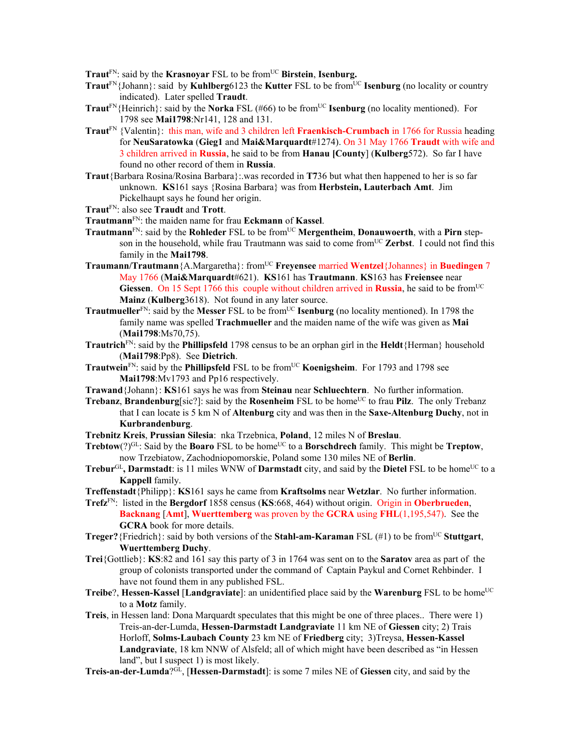Traut<sup>FN</sup>: said by the **Krasnoyar** FSL to be from<sup>UC</sup> Birstein, Isenburg.

- **Traut**<sup>FN</sup>{Johann}: said by **Kuhlberg**6123 the **Kutter** FSL to be from<sup>UC</sup> **Isenburg** (no locality or country indicated). Later spelled **Traudt**.
- **Traut**<sup>FN</sup>{Heinrich}: said by the **Norka** FSL (#66) to be from<sup>UC</sup> **Isenburg** (no locality mentioned). For 1798 see **Mai1798**:Nr141, 128 and 131.
- **Traut**FN {Valentin}: this man, wife and 3 children left **Fraenkisch-Crumbach** in 1766 for Russia heading for **NeuSaratowka** (**Gieg1** and **Mai&Marquardt**#1274). On 31 May 1766 **Traudt** with wife and 3 children arrived in **Russia**, he said to be from **Hanau [County**] (**Kulberg**572). So far I have found no other record of them in **Russia**.
- **Traut**{Barbara Rosina/Rosina Barbara}:.was recorded in **T7**36 but what then happened to her is so far unknown. **KS**161 says {Rosina Barbara} was from **Herbstein, Lauterbach Amt**. Jim Pickelhaupt says he found her origin.
- **Traut**FN: also see **Traudt** and **Trott**.
- **Trautmann**FN: the maiden name for frau **Eckmann** of **Kassel**.
- **Trautmann**<sup>FN</sup>: said by the **Rohleder** FSL to be from<sup>UC</sup> Mergentheim, Donauwoerth, with a Pirn stepson in the household, while frau Trautmann was said to come from<sup>UC</sup> Zerbst. I could not find this family in the **Mai1798**.
- **Traumann/Trautmann**{A.Margaretha}: from<sup>UC</sup> **Freyensee** married **Wentzel**{Johannes} in **Buedingen** 7 May 1766 (**Mai&Marquardt**#621). **KS**161 has **Trautmann**. **KS**163 has **Freiensee** near Giessen. On 15 Sept 1766 this couple without children arrived in Russia, he said to be from<sup>UC</sup> **Mainz** (**Kulberg**3618). Not found in any later source.
- **Trautmueller**<sup>FN</sup>: said by the **Messer** FSL to be from<sup>UC</sup> **Isenburg** (no locality mentioned). In 1798 the family name was spelled **Trachmueller** and the maiden name of the wife was given as **Mai** (**Mai1798**:Ms70,75).
- **Trautrich**FN: said by the **Phillipsfeld** 1798 census to be an orphan girl in the **Heldt**{Herman} household (**Mai1798**:Pp8). See **Dietrich**.
- **Trautwein**<sup>FN</sup>: said by the **Phillipsfeld** FSL to be from<sup>UC</sup> **Koenigsheim**. For 1793 and 1798 see **Mai1798**:Mv1793 and Pp16 respectively.
- **Trawand**{Johann}: **KS**161 says he was from **Steinau** near **Schluechtern**. No further information.
- **Trebanz, Brandenburg**[sic?]: said by the **Rosenheim** FSL to be home<sup>UC</sup> to frau **Pilz**. The only Trebanz that I can locate is 5 km N of **Altenburg** city and was then in the **Saxe-Altenburg Duchy**, not in **Kurbrandenburg**.
- **Trebnitz Kreis**, **Prussian Silesia**: nka Trzebnica, **Poland**, 12 miles N of **Breslau**.
- **Trebtow**(?)<sup>GL</sup>: Said by the **Boaro** FSL to be home<sup>UC</sup> to a **Borschdrech** family. This might be **Treptow**, now Trzebiatow, Zachodniopomorskie, Poland some 130 miles NE of **Berlin**.
- **Trebur**GL, **Darmstadt**: is 11 miles WNW of **Darmstadt** city, and said by the **Dietel** FSL to be home<sup>UC</sup> to a **Kappell** family.
- **Treffenstadt**{Philipp}: **KS**161 says he came from **Kraftsolms** near **Wetzlar**. No further information.
- **Trefz**FN: listed in the **Bergdorf** 1858 census (**KS**:668, 464) without origin. Origin in **Oberbrueden**, **Backnang** [**Amt**], **Wuerttemberg** was proven by the **GCRA** using **FHL**(1,195,547). See the **GCRA** book for more details.
- **Treger?**{Friedrich}: said by both versions of the **Stahl-am-Karaman** FSL (#1) to be from<sup>UC</sup> **Stuttgart**, **Wuerttemberg Duchy**.
- **Trei**{Gottlieb}: **KS**:82 and 161 say this party of 3 in 1764 was sent on to the **Saratov** area as part of the group of colonists transported under the command of Captain Paykul and Cornet Rehbinder. I have not found them in any published FSL.
- **Treibe**?, **Hessen-Kassel** [Landgraviate]: an unidentified place said by the **Warenburg** FSL to be home<sup>UC</sup> to a **Motz** family.
- **Treis**, in Hessen land: Dona Marquardt speculates that this might be one of three places.. There were 1) Treis-an-der-Lumda, **Hessen-Darmstadt Landgraviate** 11 km NE of **Giessen** city; 2) Trais Horloff, **Solms-Laubach County** 23 km NE of **Friedberg** city; 3)Treysa, **Hessen-Kassel Landgraviate**, 18 km NNW of Alsfeld; all of which might have been described as "in Hessen land", but I suspect 1) is most likely.
- **Treis-an-der-Lumda**?GL, [**Hessen-Darmstadt**]: is some 7 miles NE of **Giessen** city, and said by the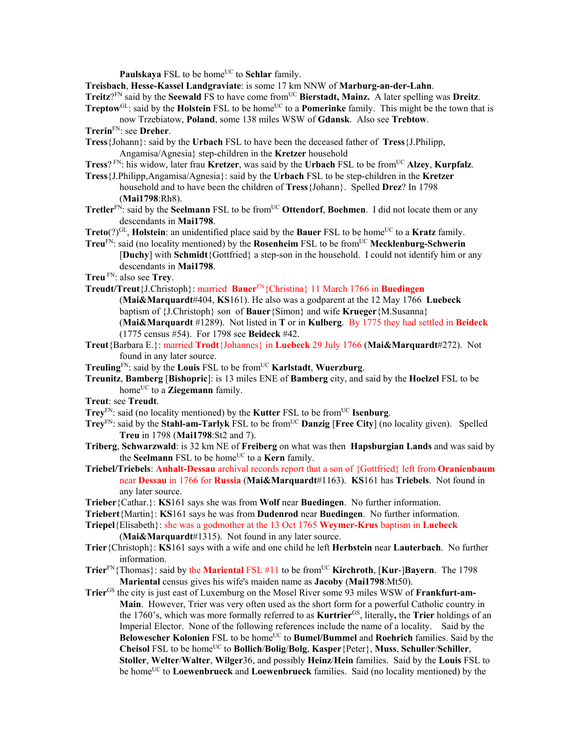**Paulskaya** FSL to be home<sup>UC</sup> to **Schlar** family.

**Treisbach**, **Hesse-Kassel Landgraviate**: is some 17 km NNW of **Marburg-an-der-Lahn**. **Treitz**?<sup>FN</sup> said by the **Seewald** FS to have come from<sup>UC</sup> Bierstadt, Mainz. A later spelling was Dreitz. **Treptow**<sup>GL</sup>: said by the **Holstein** FSL to be home<sup>UC</sup> to a **Pomerinke** family. This might be the town that is

now Trzebiatow, **Poland**, some 138 miles WSW of **Gdansk**. Also see **Trebtow**.

- **Trerin**FN: see **Dreher**.
- **Tress**{Johann}: said by the **Urbach** FSL to have been the deceased father of **Tress**{J.Philipp, Angamisa/Agnesia} step-children in the **Kretzer** household
- **Tress**? FN: his widow, later frau **Kretzer**, was said by the **Urbach** FSL to be fromUC **Alzey**, **Kurpfalz**.
- **Tress**{J.Philipp,Angamisa/Agnesia}: said by the **Urbach** FSL to be step-children in the **Kretzer**  household and to have been the children of **Tress**{Johann}. Spelled **Drez**? In 1798 (**Mai1798**:Rh8).
- **Tretler**<sup>FN</sup>: said by the **Seelmann** FSL to be from<sup>UC</sup> Ottendorf, Boehmen. I did not locate them or any descendants in **Mai1798**.
- **Treto** $(?)^{GL}$ , **Holstein**: an unidentified place said by the **Bauer** FSL to be home<sup>UC</sup> to a **Kratz** family.
- **Treu**FN: said (no locality mentioned) by the **Rosenheim** FSL to be fromUC **Mecklenburg-Schwerin** [**Duchy**] with **Schmidt**{Gottfried} a step-son in the household. I could not identify him or any descendants in **Mai1798**.
- **Treu** FN: also see **Trey**.
- **Treudt/Treut**{J.Christoph}: married **Bauer**FN{Christina} 11 March 1766 in **Buedingen** (**Mai&Marquardt**#404, **KS**161). He also was a godparent at the 12 May 1766 **Luebeck**
	- baptism of {J.Christoph} son of **Bauer**{Simon} and wife **Krueger**{M.Susanna}

(**Mai&Marquardt** #1289). Not listed in **T** or in **Kulberg**. By 1775 they had settled in **Beideck** (1775 census #54). For 1798 see **Beideck** #42.

- **Treut**{Barbara E.}: married **Trodt**{Johannes} in **Luebeck** 29 July 1766 (**Mai&Marquardt**#272). Not found in any later source.
- **Treuling**FN: said by the **Louis** FSL to be fromUC **Karlstadt**, **Wuerzburg**.
- **Treunitz**, **Bamberg** [**Bishopric**]: is 13 miles ENE of **Bamberg** city, and said by the **Hoelzel** FSL to be home<sup>UC</sup> to a **Ziegemann** family.

**Treut**: see **Treudt**.

- **Trey**<sup>FN</sup>: said (no locality mentioned) by the **Kutter** FSL to be from<sup>UC</sup> **Isenburg**.
- **Trey**<sup>FN</sup>: said by the **Stahl-am-Tarlyk** FSL to be from<sup>UC</sup> **Danzig** [Free City] (no locality given). Spelled **Treu** in 1798 (**Mai1798**:St2 and 7).
- **Triberg**, **Schwarzwald**: is 32 km NE of **Freiberg** on what was then **Hapsburgian Lands** and was said by the **Seelmann** FSL to be home<sup>UC</sup> to a **Kern** family.
- **Triebel/Triebels**: **Anhalt-Dessau** archival records report that a son of {Gottfried} left from **Oranienbaum**  near **Dessau** in 1766 for **Russia** (**Mai&Marquardt**#1163). **KS**161 has **Triebels**. Not found in any later source.
- **Trieber**{Cathar.}: **KS**161 says she was from **Wolf** near **Buedingen**. No further information.
- **Triebert**{Martin}: **KS**161 says he was from **Dudenrod** near **Buedingen**. No further information.
- **Triepel**{Elisabeth}: she was a godmother at the 13 Oct 1765 **Weymer-Krus** baptism in **Luebeck** (**Mai&Marquardt**#1315). Not found in any later source.
- **Trier**{Christoph}: **KS**161 says with a wife and one child he left **Herbstein** near **Lauterbach**. No further information.
- **Trier**FN{Thomas}: said by the **Mariental** FSL #11 to be fromUC **Kirchroth**, [**Kur**-]**Bayern**. The 1798 **Mariental** census gives his wife's maiden name as **Jacoby** (**Mai1798**:Mt50).
- **Trier**GS the city is just east of Luxemburg on the Mosel River some 93 miles WSW of **Frankfurt-am-Main**. However, Trier was very often used as the short form for a powerful Catholic country in the 1760's, which was more formally referred to as **Kurtrier**GS, literally**,** the **Trier** holdings of an Imperial Elector. None of the following references include the name of a locality. Said by the **Belowescher Kolonien** FSL to be home<sup>UC</sup> to **Bumel/Bummel** and **Roehrich** families. Said by the **Cheisol** FSL to be homeUC to **Bollich**/**Bolig**/**Bolg**, **Kasper**{Peter}, **Muss**, **Schuller**/**Schiller**, **Stoller**, **Welter**/**Walter**, **Wilger**36, and possibly **Heinz**/**Hein** families. Said by the **Louis** FSL to be home<sup>UC</sup> to **Loewenbrueck** and **Loewenbrueck** families. Said (no locality mentioned) by the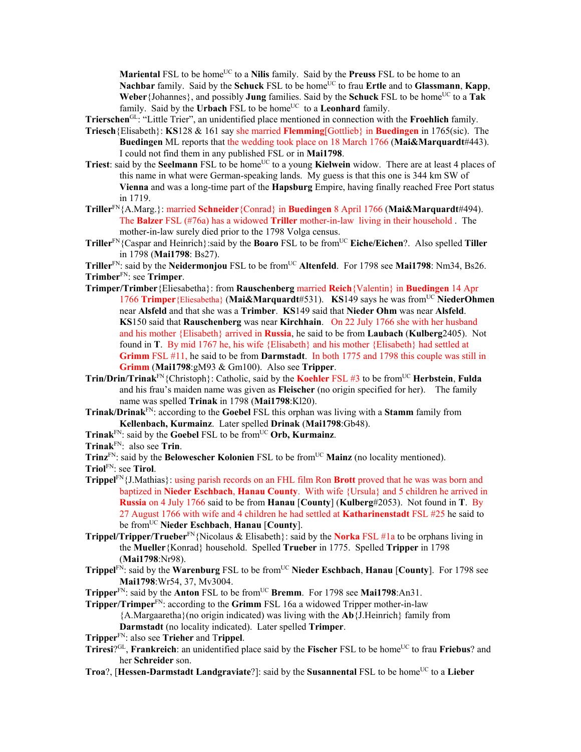**Mariental** FSL to be home<sup>UC</sup> to a **Nilis** family. Said by the **Preuss** FSL to be home to an Nachbar family. Said by the **Schuck** FSL to be home<sup>UC</sup> to frau **Ertle** and to **Glassmann**, **Kapp**, **Weber** {Johannes}, and possibly **Jung** families. Said by the **Schuck** FSL to be home<sup>UC</sup> to a Tak family. Said by the **Urbach** FSL to be home<sup>UC</sup> to a **Leonhard** family.

**Trierschen**GL: "Little Trier", an unidentified place mentioned in connection with the **Froehlich** family.

- **Triesch**{Elisabeth}: **KS**128 & 161 say she married **Flemming**[Gottlieb} in **Buedingen** in 1765(sic). The **Buedingen** ML reports that the wedding took place on 18 March 1766 (**Mai&Marquardt**#443). I could not find them in any published FSL or in **Mai1798**.
- **Triest**: said by the **Seelmann** FSL to be home<sup>UC</sup> to a young **Kielwein** widow. There are at least 4 places of this name in what were German-speaking lands. My guess is that this one is 344 km SW of **Vienna** and was a long-time part of the **Hapsburg** Empire, having finally reached Free Port status in 1719.
- **Triller**FN{A.Marg.}: married **Schneider**{Conrad} in **Buedingen** 8 April 1766 (**Mai&Marquardt**#494). The **Balzer** FSL (#76a) has a widowed **Triller** mother-in-law living in their household . The mother-in-law surely died prior to the 1798 Volga census.

**Triller**FN{Caspar and Heinrich}:said by the **Boaro** FSL to be fromUC **Eiche/Eichen**?. Also spelled **Tiller** in 1798 (**Mai1798**: Bs27).

**Triller**<sup>FN</sup>: said by the **Neidermonjou** FSL to be from<sup>UC</sup> **Altenfeld**. For 1798 see **Mai1798**: Nm34, Bs26. **Trimber**FN: see **Trimper**.

- **Trimper/Trimber**{Eliesabetha}: from **Rauschenberg** married **Reich**{Valentin} in **Buedingen** 14 Apr 1766 **Trimper**{Eliesabetha} (**Mai&Marquardt**#531). **KS**149 says he was fromUC **NiederOhmen** near **Alsfeld** and that she was a **Trimber**. **KS**149 said that **Nieder Ohm** was near **Alsfeld**. **KS**150 said that **Rauschenberg** was near **Kirchhain**. On 22 July 1766 she with her husband and his mother {Elisabeth} arrived in **Russia**, he said to be from **Laubach** (**Kulberg**2405). Not found in **T**. By mid 1767 he, his wife {Elisabeth} and his mother {Elisabeth} had settled at **Grimm** FSL #11, he said to be from **Darmstadt**. In both 1775 and 1798 this couple was still in **Grimm** (**Mai1798**:gM93 & Gm100). Also see **Tripper**.
- **Trin/Drin/Trinak**<sup>FN</sup>{Christoph}: Catholic, said by the **Koehler** FSL #3 to be from<sup>UC</sup> **Herbstein**, **Fulda** and his frau's maiden name was given as **Fleischer** (no origin specified for her). The family name was spelled **Trinak** in 1798 (**Mai1798**:Kl20).
- **Trinak/Drinak**FN: according to the **Goebel** FSL this orphan was living with a **Stamm** family from **Kellenbach, Kurmainz**. Later spelled **Drinak** (**Mai1798**:Gb48).

**Trinak**FN: said by the **Goebel** FSL to be fromUC **Orb, Kurmainz**.

**Trinak**FN: also see **Trin**.

**Trinz**<sup>FN</sup>: said by the **Belowescher Kolonien** FSL to be from<sup>UC</sup> Mainz (no locality mentioned).

**Triol**FN: see **Tirol**.

**Trippel**FN{J.Mathias}: using parish records on an FHL film Ron **Brott** proved that he was was born and baptized in **Nieder Eschbach**, **Hanau County**. With wife {Ursula} and 5 children he arrived in **Russia** on 4 July 1766 said to be from **Hanau** [**County**] (**Kulberg**#2053). Not found in **T**. By 27 August 1766 with wife and 4 children he had settled at **Katharinenstadt** FSL #25 he said to be fromUC **Nieder Eschbach**, **Hanau** [**County**].

- **Trippel/Tripper/Trueber**FN{Nicolaus & Elisabeth}: said by the **Norka** FSL #1a to be orphans living in the **Mueller**{Konrad} household. Spelled **Trueber** in 1775. Spelled **Tripper** in 1798 (**Mai1798**:Nr98).
- **Trippel<sup>FN</sup>: said by the Warenburg FSL to be from<sup>UC</sup> Nieder Eschbach, Hanau [County]. For 1798 see Mai1798**:Wr54, 37, Mv3004.

**Tripper**FN: said by the **Anton** FSL to be fromUC **Bremm**. For 1798 see **Mai1798**:An31.

**Tripper/Trimper**<sup>FN</sup>: according to the **Grimm** FSL 16a a widowed Tripper mother-in-law {A.Margaaretha}(no origin indicated) was living with the **Ab**{J.Heinrich} family from **Darmstadt** (no locality indicated). Later spelled **Trimper**.

**Tripper**FN: also see **Trieher** and T**rippel**.

**Triresi**?GL, **Frankreich**: an unidentified place said by the **Fischer** FSL to be homeUC to frau **Friebus**? and her **Schreider** son.

**Troa**?, [Hessen-Darmstadt Landgraviate?]: said by the Susannental FSL to be home<sup>UC</sup> to a Lieber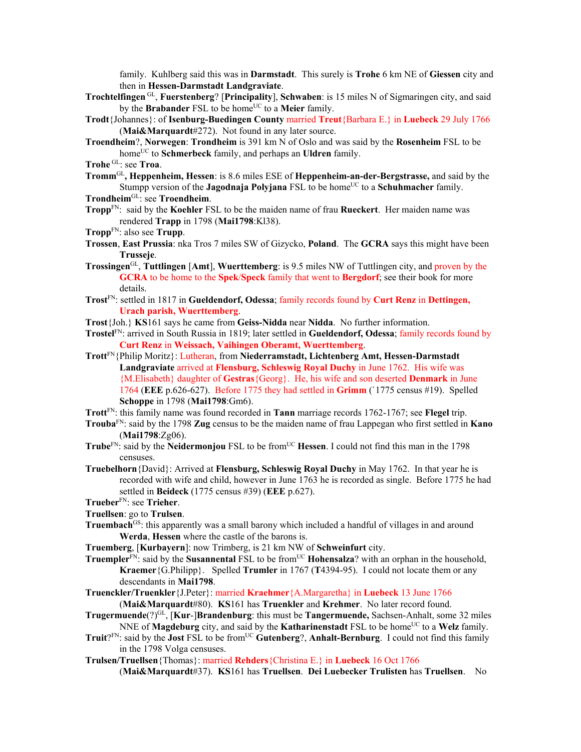family. Kuhlberg said this was in **Darmstadt**. This surely is **Trohe** 6 km NE of **Giessen** city and then in **Hessen-Darmstadt Landgraviate**.

- **Trochtelfingen** GL, **Fuerstenberg**? [**Principality**], **Schwaben**: is 15 miles N of Sigmaringen city, and said by the **Brabander** FSL to be home<sup>UC</sup> to a **Meier** family.
- **Trodt**{Johannes}: of **Isenburg-Buedingen County** married **Treut**{Barbara E.} in **Luebeck** 29 July 1766 (**Mai&Marquardt**#272). Not found in any later source.
- **Troendheim**?, **Norwegen**: **Trondheim** is 391 km N of Oslo and was said by the **Rosenheim** FSL to be home<sup>UC</sup> to **Schmerbeck** family, and perhaps an **Uldren** family.
- **Trohe** GL: see **Troa**.
- **Tromm**GL**, Heppenheim, Hessen**: is 8.6 miles ESE of **Heppenheim-an-der-Bergstrasse,** and said by the Stumpp version of the **Jagodnaja Polyjana** FSL to be home<sup>UC</sup> to a **Schuhmacher** family.
- **Trondheim**GL: see **Troendheim**.
- **Tropp**FN: said by the **Koehler** FSL to be the maiden name of frau **Rueckert**. Her maiden name was rendered **Trapp** in 1798 (**Mai1798**:Kl38).
- **Tropp**FN: also see **Trupp**.
- **Trossen**, **East Prussia**: nka Tros 7 miles SW of Gizycko, **Poland**. The **GCRA** says this might have been **Trusseje**.
- **Trossingen**GL, **Tuttlingen** [**Amt**], **Wuerttemberg**: is 9.5 miles NW of Tuttlingen city, and proven by the **GCRA** to be home to the **Spek**/**Speck** family that went to **Bergdorf**; see their book for more details.
- **Trost**FN: settled in 1817 in **Gueldendorf, Odessa**; family records found by **Curt Renz** in **Dettingen, Urach parish, Wuerttemberg**.
- **Trost**{Joh.} **KS**161 says he came from **Geiss-Nidda** near **Nidda**. No further information.

**Trostel**FN: arrived in South Russia in 1819; later settled in **Gueldendorf, Odessa**; family records found by **Curt Renz** in **Weissach, Vaihingen Oberamt, Wuerttemberg**.

- **Trott**FN{Philip Moritz}: Lutheran, from **Niederramstadt, Lichtenberg Amt, Hessen-Darmstadt Landgraviate** arrived at **Flensburg, Schleswig Royal Duchy** in June 1762. His wife was {M.Elisabeth} daughter of **Gestras**{Georg}. He, his wife and son deserted **Denmark** in June 1764 (**EEE** p.626-627). Before 1775 they had settled in **Grimm** (`1775 census #19). Spelled **Schoppe** in 1798 (**Mai1798**:Gm6).
- **Trott**FN: this family name was found recorded in **Tann** marriage records 1762-1767; see **Flegel** trip.
- **Trouba**FN: said by the 1798 **Zug** census to be the maiden name of frau Lappegan who first settled in **Kano** (**Mai1798**:Zg06).
- **Trube**FN: said by the **Neidermoniou** FSL to be from<sup>UC</sup> **Hessen**. I could not find this man in the 1798 censuses.
- **Truebelhorn**{David}: Arrived at **Flensburg, Schleswig Royal Duchy** in May 1762. In that year he is recorded with wife and child, however in June 1763 he is recorded as single. Before 1775 he had settled in **Beideck** (1775 census #39) (**EEE** p.627).
- **Trueber**FN: see **Trieher**.
- **Truellsen**: go to **Trulsen**.
- **Truembach<sup>GS</sup>**: this apparently was a small barony which included a handful of villages in and around **Werda**, **Hessen** where the castle of the barons is.
- **Truemberg**, [**Kurbayern**]: now Trimberg, is 21 km NW of **Schweinfurt** city.
- **Truempler**<sup>FN</sup>: said by the **Susannental** FSL to be from<sup>UC</sup> **Hohensalza**? with an orphan in the household, **Kraemer**{G.Philipp}. Spelled **Trumler** in 1767 (**T**4394-95). I could not locate them or any descendants in **Mai1798**.
- **Truenckler/Truenkler**{J.Peter}: married **Kraehmer**{A.Margaretha} in **Luebeck** 13 June 1766
	- (**Mai&Marquardt**#80). **KS**161 has **Truenkler** and **Krehmer**. No later record found.
- **Trugermuende**(?)GL, [**Kur**-]**Brandenburg**: this must be **Tangermuende,** Sachsen-Anhalt, some 32 miles NNE of **Magdeburg** city, and said by the **Katharinenstadt** FSL to be home<sup>UC</sup> to a Welz family.
- **Truit**?FN: said by the **Jost** FSL to be from<sup>UC</sup> Gutenberg?, Anhalt-Bernburg. I could not find this family in the 1798 Volga censuses.
- **Trulsen/Truellsen**{Thomas}: married **Rehders**{Christina E.} in **Luebeck** 16 Oct 1766 (**Mai&Marquardt**#37). **KS**161 has **Truellsen**. **Dei Luebecker Trulisten** has **Truellsen**. No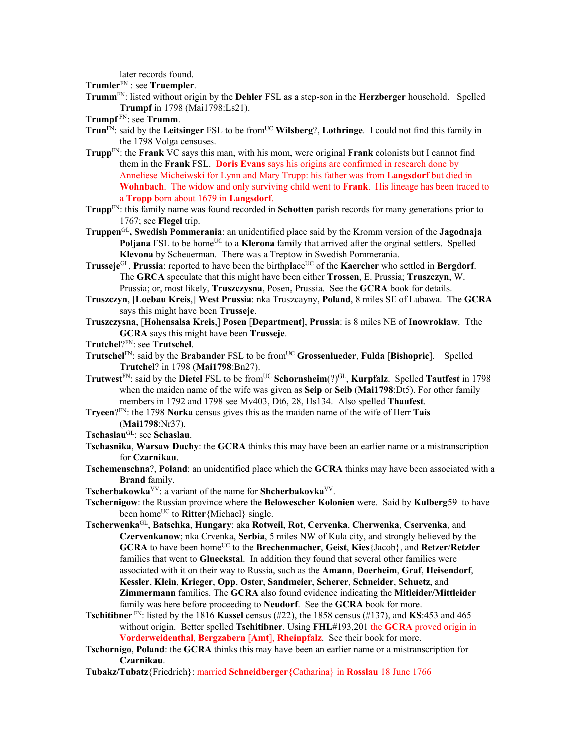later records found.

**Trumler**FN : see **Truempler**.

**Trumm**FN: listed without origin by the **Dehler** FSL as a step-son in the **Herzberger** household. Spelled **Trumpf** in 1798 (Mai1798:Ls21).

- **Trun**<sup>FN</sup>: said by the Leitsinger FSL to be from<sup>UC</sup> Wilsberg?, Lothringe. I could not find this family in the 1798 Volga censuses.
- **Trupp**FN: the **Frank** VC says this man, with his mom, were original **Frank** colonists but I cannot find them in the **Frank** FSL. **Doris Evans** says his origins are confirmed in research done by Anneliese Micheiwski for Lynn and Mary Trupp: his father was from **Langsdorf** but died in **Wohnbach**. The widow and only surviving child went to **Frank**. His lineage has been traced to a **Tropp** born about 1679 in **Langsdorf**.
- **Trupp**FN: this family name was found recorded in **Schotten** parish records for many generations prior to 1767; see **Flegel** trip.
- **Truppen**GL**, Swedish Pommerania**: an unidentified place said by the Kromm version of the **Jagodnaja**  Poljana FSL to be home<sup>UC</sup> to a **Klerona** family that arrived after the orginal settlers. Spelled **Klevona** by Scheuerman. There was a Treptow in Swedish Pommerania.
- **Trusseje**<sup>GL</sup>, **Prussia**: reported to have been the birthplace<sup>UC</sup> of the **Kaercher** who settled in **Bergdorf**. The **GRCA** speculate that this might have been either **Trossen**, E. Prussia; **Truszczyn**, W. Prussia; or, most likely, **Truszczysna**, Posen, Prussia. See the **GCRA** book for details.
- **Truszczyn**, [**Loebau Kreis**,] **West Prussia**: nka Truszcayny, **Poland**, 8 miles SE of Lubawa. The **GCRA** says this might have been **Trusseje**.
- **Truszczysna**, [**Hohensalsa Kreis**,] **Posen** [**Department**], **Prussia**: is 8 miles NE of **Inowroklaw**. Tthe **GCRA** says this might have been **Trusseje**.
- **Trutchel**?FN: see **Trutschel**.
- **Trutschel**<sup>FN</sup>: said by the **Brabander** FSL to be from<sup>UC</sup> **Grossenlueder**, **Fulda** [Bishopric]. Spelled **Trutchel**? in 1798 (**Mai1798**:Bn27).
- **Trutwest**<sup>FN</sup>: said by the **Dietel** FSL to be from<sup>UC</sup> **Schornsheim**(?)<sup>GL</sup>, **Kurpfalz**. Spelled **Tautfest** in 1798 when the maiden name of the wife was given as **Seip** or **Seib** (**Mai1798**:Dt5). For other family members in 1792 and 1798 see Mv403, Dt6, 28, Hs134. Also spelled **Thaufest**.
- **Tryeen**?FN: the 1798 **Norka** census gives this as the maiden name of the wife of Herr **Tais** (**Mai1798**:Nr37).
- **Tschaslau**GL: see **Schaslau**.
- **Tschasnika**, **Warsaw Duchy**: the **GCRA** thinks this may have been an earlier name or a mistranscription for **Czarnikau**.
- **Tschemenschna**?, **Poland**: an unidentified place which the **GCRA** thinks may have been associated with a **Brand** family.
- **Tscherbakowka**VV: a variant of the name for **Shcherbakovka**VV.
- **Tschernigow**: the Russian province where the **Belowescher Kolonien** were. Said by **Kulberg**59 to have been home<sup>UC</sup> to **Ritter**{Michael} single.
- **Tscherwenka**GL, **Batschka**, **Hungary**: aka **Rotweil**, **Rot**, **Cervenka**, **Cherwenka**, **Cservenka**, and **Czervenkanow**; nka Crvenka, **Serbia**, 5 miles NW of Kula city, and strongly believed by the **GCRA** to have been homeUC to the **Brechenmacher**, **Geist**, **Kies**{Jacob}, and **Retzer**/**Retzler** families that went to **Glueckstal**. In addition they found that several other families were associated with it on their way to Russia, such as the **Amann**, **Doerheim**, **Graf**, **Heisendorf**, **Kessler**, **Klein**, **Krieger**, **Opp**, **Oster**, **Sandmeier**, **Scherer**, **Schneider**, **Schuetz**, and **Zimmermann** families. The **GCRA** also found evidence indicating the **Mitleider/Mittleider** family was here before proceeding to **Neudorf**. See the **GCRA** book for more.
- **Tschitibner**  $F_N$ : listed by the 1816 **Kassel** census (#22), the 1858 census (#137), and **KS**:453 and 465 without origin. Better spelled **Tschitibner**. Using **FHL**#193,201 the **GCRA** proved origin in **Vorderweidenthal**, **Bergzabern** [**Amt**], **Rheinpfalz**. See their book for more.
- **Tschornigo**, **Poland**: the **GCRA** thinks this may have been an earlier name or a mistranscription for **Czarnikau**.

**Tubakz/Tubatz**{Friedrich}: married **Schneidberger**{Catharina} in **Rosslau** 18 June 1766

**Trumpf** FN: see **Trumm**.